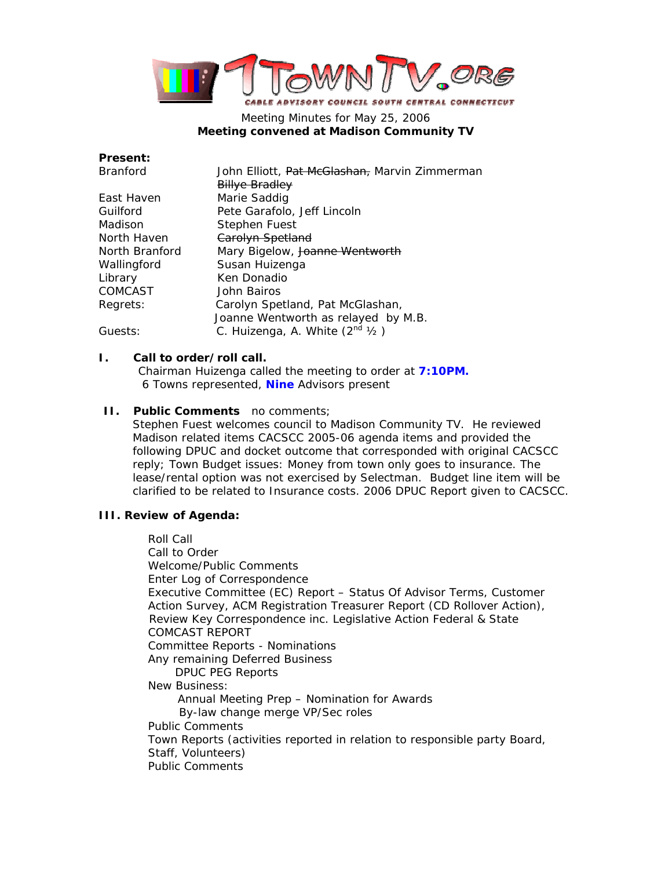

# Meeting Minutes for May 25, 2006 **Meeting convened at Madison Community TV**

| Present:        |                                                          |
|-----------------|----------------------------------------------------------|
| <b>Branford</b> | John Elliott, <del>Pat McGlashan,</del> Marvin Zimmerman |
|                 | <b>Billye Bradley</b>                                    |
| East Haven      | Marie Saddig                                             |
| Guilford        | Pete Garafolo, Jeff Lincoln                              |
| Madison         | Stephen Fuest                                            |
| North Haven     | Carolyn Spetland                                         |
| North Branford  | Mary Bigelow, Joanne Wentworth                           |
| Wallingford     | Susan Huizenga                                           |
| Library         | Ken Donadio                                              |
| COMCAST         | John Bairos                                              |
| Regrets:        | Carolyn Spetland, Pat McGlashan,                         |
|                 | Joanne Wentworth as relayed by M.B.                      |
| Guests:         | C. Huizenga, A. White $(2^{nd}$ $1/2)$                   |

#### **I. Call to order/roll call.**

**Present:** 

Chairman Huizenga called the meeting to order at **7:10PM.**  6 Towns represented, **Nine** Advisors present

### **II. Public Comments** no comments;

Stephen Fuest welcomes council to Madison Community TV. He reviewed Madison related items CACSCC 2005-06 agenda items and provided the following DPUC and docket outcome that corresponded with original CACSCC reply; Town Budget issues: Money from town only goes to insurance. The lease/rental option was not exercised by Selectman. Budget line item will be clarified to be related to Insurance costs. 2006 DPUC Report given to CACSCC.

## **III. Review of Agenda:**

Roll Call Call to Order Welcome/Public Comments Enter Log of Correspondence Executive Committee (EC) Report – Status Of Advisor Terms, Customer Action Survey, ACM Registration Treasurer Report (CD Rollover Action), Review Key Correspondence inc. Legislative Action Federal & State COMCAST REPORT Committee Reports - Nominations Any remaining Deferred Business DPUC PEG Reports New Business: Annual Meeting Prep – Nomination for Awards By-law change merge VP/Sec roles Public Comments Town Reports (activities reported in relation to responsible party Board, Staff, Volunteers) Public Comments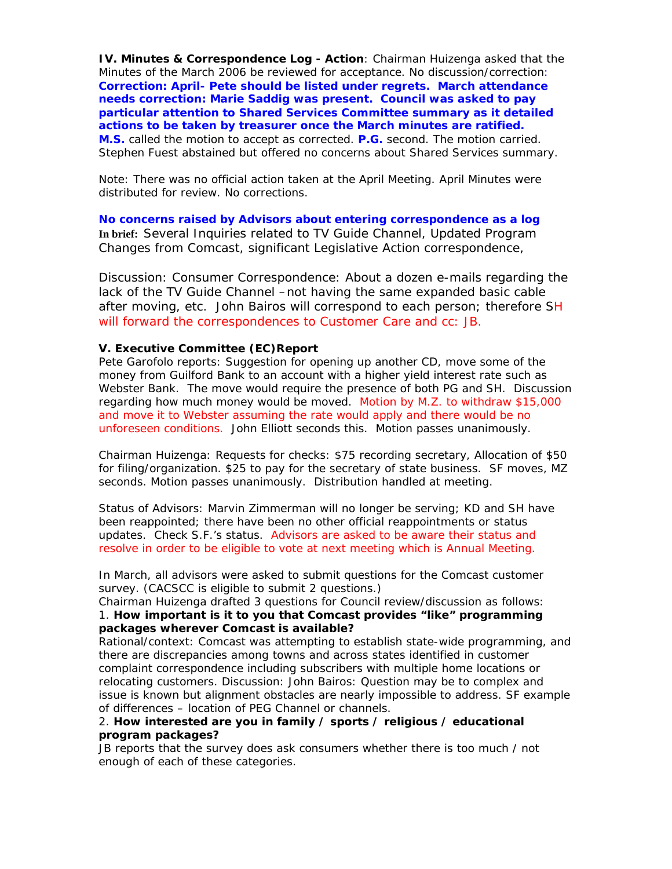**IV. Minutes & Correspondence Log - Action**: Chairman Huizenga asked that the Minutes of the March 2006 be reviewed for acceptance. No discussion/correction: **Correction: April- Pete should be listed under regrets. March attendance needs correction: Marie Saddig was present. Council was asked to pay particular attention to Shared Services Committee summary as it detailed actions to be taken by treasurer once the March minutes are ratified. M.S.** called the motion to accept as corrected. **P.G.** second. The motion carried. Stephen Fuest abstained but offered no concerns about Shared Services summary.

Note: There was no official action taken at the April Meeting. April Minutes were distributed for review. No corrections.

**No concerns raised by Advisors about entering correspondence as a log In brief:** Several Inquiries related to TV Guide Channel, Updated Program Changes from Comcast, significant Legislative Action correspondence,

Discussion: Consumer Correspondence: About a dozen e-mails regarding the lack of the TV Guide Channel –not having the same expanded basic cable after moving, etc. John Bairos will correspond to each person; therefore SH will forward the correspondences to Customer Care and cc: JB.

#### **V. Executive Committee (EC)Report**

Pete Garofolo reports: Suggestion for opening up another CD, move some of the money from Guilford Bank to an account with a higher yield interest rate such as Webster Bank. The move would require the presence of both PG and SH. Discussion regarding how much money would be moved. Motion by M.Z. to withdraw \$15,000 and move it to Webster assuming the rate would apply and there would be no unforeseen conditions. John Elliott seconds this. Motion passes unanimously.

Chairman Huizenga: Requests for checks: \$75 recording secretary, Allocation of \$50 for filing/organization. \$25 to pay for the secretary of state business. SF moves, MZ seconds. Motion passes unanimously. Distribution handled at meeting.

Status of Advisors: Marvin Zimmerman will no longer be serving; KD and SH have been reappointed; there have been no other official reappointments or status updates. Check S.F.'s status. Advisors are asked to be aware their status and resolve in order to be eligible to vote at next meeting which is Annual Meeting.

In March, all advisors were asked to submit questions for the Comcast customer survey. (CACSCC is eligible to submit 2 questions.)

Chairman Huizenga drafted 3 questions for Council review/discussion as follows: 1. **How important is it to you that Comcast provides "like" programming packages wherever Comcast is available?**

Rational/context: Comcast was attempting to establish state-wide programming, and there are discrepancies among towns and across states identified in customer complaint correspondence including subscribers with multiple home locations or relocating customers. Discussion: John Bairos: Question may be to complex and issue is known but alignment obstacles are nearly impossible to address. SF example of differences – location of PEG Channel or channels.

### 2. **How interested are you in family / sports / religious / educational program packages?**

JB reports that the survey does ask consumers whether there is too much / not enough of each of these categories.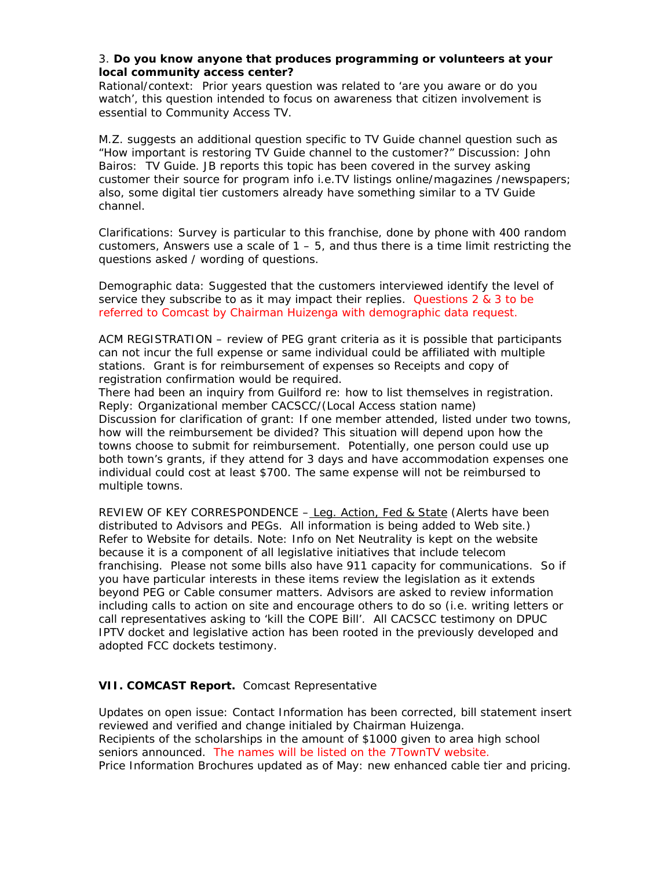### 3. **Do you know anyone that produces programming or volunteers at your local community access center?**

Rational/context: Prior years question was related to 'are you aware or do you watch', this question intended to focus on awareness that citizen involvement is essential to Community Access TV.

M.Z. suggests an additional question specific to TV Guide channel question such as "How important is restoring TV Guide channel to the customer?" Discussion: John Bairos: TV Guide. JB reports this topic has been covered in the survey asking customer their source for program info i.e.TV listings online/magazines /newspapers; also, some digital tier customers already have something similar to a TV Guide channel.

Clarifications: Survey is particular to this franchise, done by phone with 400 random customers, Answers use a scale of  $1 - 5$ , and thus there is a time limit restricting the questions asked / wording of questions.

Demographic data: Suggested that the customers interviewed identify the level of service they subscribe to as it may impact their replies. Questions 2 & 3 to be referred to Comcast by Chairman Huizenga with demographic data request.

ACM REGISTRATION – review of PEG grant criteria as it is possible that participants can not incur the full expense or same individual could be affiliated with multiple stations. Grant is for reimbursement of expenses so Receipts and copy of registration confirmation would be required.

There had been an inquiry from Guilford re: how to list themselves in registration. Reply: Organizational member CACSCC/(Local Access station name) Discussion for clarification of grant: If one member attended, listed under two towns, how will the reimbursement be divided? This situation will depend upon how the towns choose to submit for reimbursement. Potentially, one person could use up both town's grants, if they attend for 3 days and have accommodation expenses one individual could cost at least \$700. The same expense will not be reimbursed to multiple towns.

REVIEW OF KEY CORRESPONDENCE – Leg. Action, Fed & State (Alerts have been distributed to Advisors and PEGs. All information is being added to Web site.) Refer to Website for details. Note: Info on Net Neutrality is kept on the website because it is a component of all legislative initiatives that include telecom franchising. Please not some bills also have 911 capacity for communications. So if you have particular interests in these items review the legislation as it extends beyond PEG or Cable consumer matters. Advisors are asked to review information including calls to action on site and encourage others to do so (i.e. writing letters or call representatives asking to 'kill the COPE Bill'. All CACSCC testimony on DPUC IPTV docket and legislative action has been rooted in the previously developed and adopted FCC dockets testimony.

## **VII. COMCAST Report.** Comcast Representative

Updates on open issue: Contact Information has been corrected, bill statement insert reviewed and verified and change initialed by Chairman Huizenga. Recipients of the scholarships in the amount of \$1000 given to area high school seniors announced. The names will be listed on the 7TownTV website. Price Information Brochures updated as of May: new enhanced cable tier and pricing.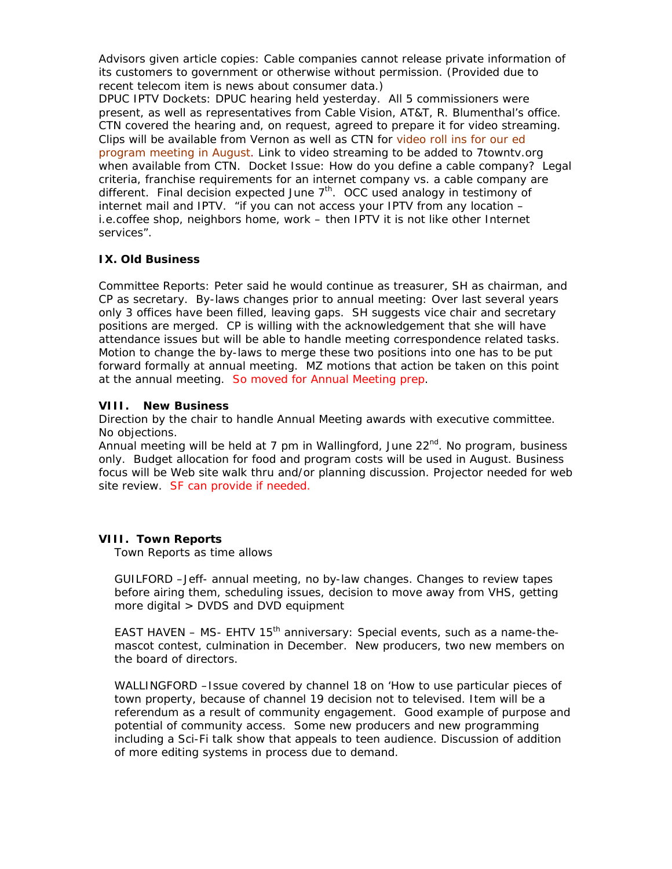Advisors given article copies: Cable companies cannot release private information of its customers to government or otherwise without permission. (Provided due to recent telecom item is news about consumer data.)

DPUC IPTV Dockets: DPUC hearing held yesterday. All 5 commissioners were present, as well as representatives from Cable Vision, AT&T, R. Blumenthal's office. CTN covered the hearing and, on request, agreed to prepare it for video streaming. Clips will be available from Vernon as well as CTN for video roll ins for our ed program meeting in August. Link to video streaming to be added to 7towntv.org when available from CTN. Docket Issue: How do you define a cable company? Legal criteria, franchise requirements for an internet company vs. a cable company are different. Final decision expected June  $7<sup>th</sup>$ . OCC used analogy in testimony of internet mail and IPTV. "if you can not access your IPTV from any location – i.e.coffee shop, neighbors home, work – then IPTV it is not like other Internet services".

# **IX. Old Business**

Committee Reports: Peter said he would continue as treasurer, SH as chairman, and CP as secretary. By-laws changes prior to annual meeting: Over last several years only 3 offices have been filled, leaving gaps. SH suggests vice chair and secretary positions are merged. CP is willing with the acknowledgement that she will have attendance issues but will be able to handle meeting correspondence related tasks. Motion to change the by-laws to merge these two positions into one has to be put forward formally at annual meeting. MZ motions that action be taken on this point at the annual meeting. So moved for Annual Meeting prep.

## **VIII. New Business**

Direction by the chair to handle Annual Meeting awards with executive committee. No objections.

Annual meeting will be held at 7 pm in Wallingford, June  $22^{nd}$ . No program, business only. Budget allocation for food and program costs will be used in August. Business focus will be Web site walk thru and/or planning discussion. Projector needed for web site review. SF can provide if needed.

## **VIII. Town Reports**

Town Reports as time allows

GUILFORD –Jeff- annual meeting, no by-law changes. Changes to review tapes before airing them, scheduling issues, decision to move away from VHS, getting more digital > DVDS and DVD equipment

EAST HAVEN – MS- EHTV  $15<sup>th</sup>$  anniversary: Special events, such as a name-themascot contest, culmination in December. New producers, two new members on the board of directors.

WALLINGFORD –Issue covered by channel 18 on 'How to use particular pieces of town property, because of channel 19 decision not to televised. Item will be a referendum as a result of community engagement. Good example of purpose and potential of community access. Some new producers and new programming including a Sci-Fi talk show that appeals to teen audience. Discussion of addition of more editing systems in process due to demand.